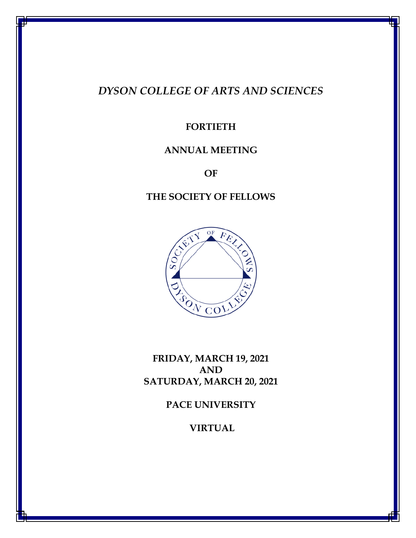# *DYSON COLLEGE OF ARTS AND SCIENCES*

# **FORTIETH**

## **ANNUAL MEETING**

**OF**

## **THE SOCIETY OF FELLOWS**



**FRIDAY, MARCH 19, 2021 AND SATURDAY, MARCH 20, 2021**

**PACE UNIVERSITY** 

**VIRTUAL**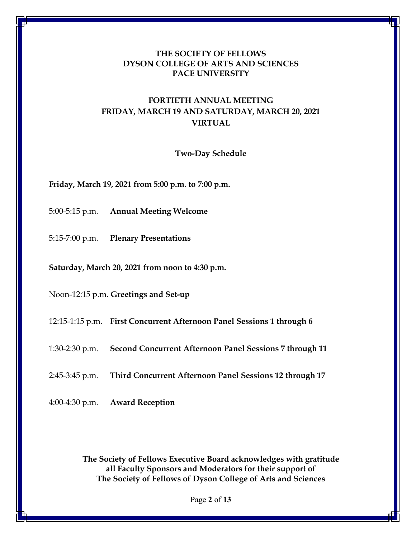### **THE SOCIETY OF FELLOWS DYSON COLLEGE OF ARTS AND SCIENCES PACE UNIVERSITY**

## **FORTIETH ANNUAL MEETING FRIDAY, MARCH 19 AND SATURDAY, MARCH 20, 2021 VIRTUAL**

#### **Two-Day Schedule**

**Friday, March 19, 2021 from 5:00 p.m. to 7:00 p.m.**

- 5:00-5:15 p.m. **Annual Meeting Welcome**
- 5:15-7:00 p.m. **Plenary Presentations**

**Saturday, March 20, 2021 from noon to 4:30 p.m.**

Noon-12:15 p.m. **Greetings and Set-up**

12:15-1:15 p.m. **First Concurrent Afternoon Panel Sessions 1 through 6**

1:30-2:30 p.m. **Second Concurrent Afternoon Panel Sessions 7 through 11**

2:45-3:45 p.m. **Third Concurrent Afternoon Panel Sessions 12 through 17**

4:00-4:30 p.m. **Award Reception**

**The Society of Fellows Executive Board acknowledges with gratitude all Faculty Sponsors and Moderators for their support of The Society of Fellows of Dyson College of Arts and Sciences**

Page **2** of **13**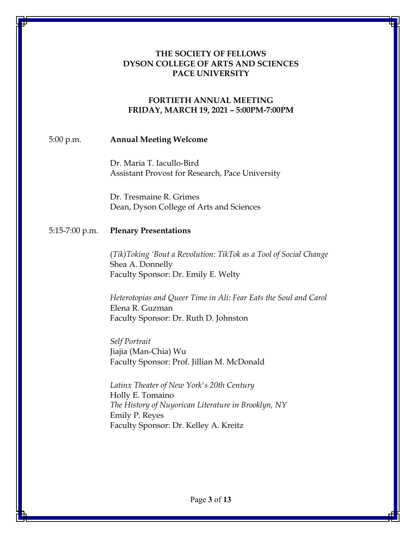### **THE SOCIETY OF FELLOWS DYSON COLLEGE OF ARTS AND SCIENCES PACE UNIVERSITY**

#### **FORTIETH ANNUAL MEETING FRIDAY, MARCH 19, 2021 – 5:00PM-7:00PM**

#### 5:00 p.m. **Annual Meeting Welcome**

Dr. Maria T. Iacullo-Bird Assistant Provost for Research, Pace University

Dr. Tresmaine R. Grimes Dean, Dyson College of Arts and Sciences

#### 5:15-7:00 p.m. **Plenary Presentations**

(*Tik)Toking 'Bout a Revolution: TikTok as a Tool of Social Change* Shea A. Donnelly Faculty Sponsor: Dr. Emily E. Welty

*Heterotopias and Queer Time in Ali: Fear Eats the Soul and Carol* Elena R. Guzman Faculty Sponsor: Dr. Ruth D. Johnston

*Self Portrait* Jiajia (Man-Chia) Wu Faculty Sponsor: Prof. Jillian M. McDonald

*Latinx Theater of New York's 20th Century* Holly E. Tomaino *The History of Nuyorican Literature in Brooklyn, NY* Emily P. Reyes Faculty Sponsor: Dr. Kelley A. Kreitz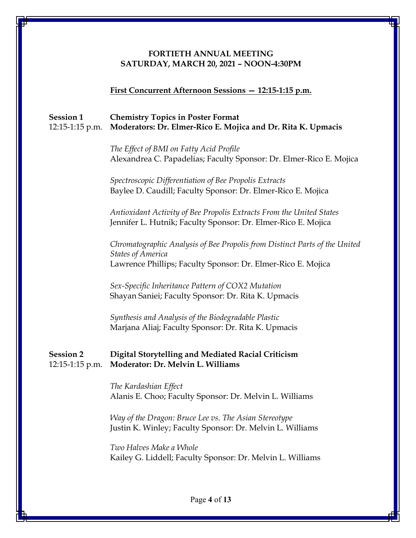#### **FORTIETH ANNUAL MEETING SATURDAY, MARCH 20, 2021 – NOON-4:30PM**

#### **First Concurrent Afternoon Sessions — 12:15-1:15 p.m.**

## **Session 1 Chemistry Topics in Poster Format** 12:15-1:15 p.m. **Moderators: Dr. Elmer-Rico E. Mojica and Dr. Rita K. Upmacis**

*The Effect of BMI on Fatty Acid Profile* Alexandrea C. Papadelias; Faculty Sponsor: Dr. Elmer-Rico E. Mojica

*Spectroscopic Differentiation of Bee Propolis Extracts* Baylee D. Caudill; Faculty Sponsor: Dr. Elmer-Rico E. Mojica

*Antioxidant Activity of Bee Propolis Extracts From the United States* Jennifer L. Hutnik; Faculty Sponsor: Dr. Elmer-Rico E. Mojica

*Chromatographic Analysis of Bee Propolis from Distinct Parts of the United States of America* Lawrence Phillips; Faculty Sponsor: Dr. Elmer-Rico E. Mojica

*Sex-Specific Inheritance Pattern of COX2 Mutation* Shayan Saniei; Faculty Sponsor: Dr. Rita K. Upmacis

*Synthesis and Analysis of the Biodegradable Plastic* Marjana Aliaj; Faculty Sponsor: Dr. Rita K. Upmacis

#### **Session 2 Digital Storytelling and Mediated Racial Criticism** 12:15-1:15 p.m. **Moderator: Dr. Melvin L. Williams**

*The Kardashian Effect* Alanis E. Choo; Faculty Sponsor: Dr. Melvin L. Williams

*Way of the Dragon: Bruce Lee vs. The Asian Stereotype* Justin K. Winley; Faculty Sponsor: Dr. Melvin L. Williams

*Two Halves Make a Whole* Kailey G. Liddell; Faculty Sponsor: Dr. Melvin L. Williams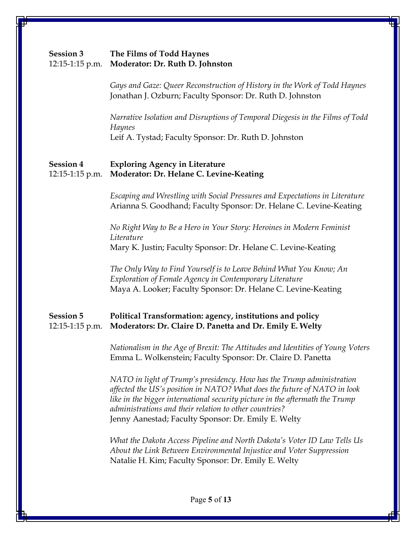## **Session 3 The Films of Todd Haynes** 12:15-1:15 p.m. **Moderator: Dr. Ruth D. Johnston**

*Gays and Gaze: Queer Reconstruction of History in the Work of Todd Haynes* Jonathan J. Ozburn; Faculty Sponsor: Dr. Ruth D. Johnston

*Narrative Isolation and Disruptions of Temporal Diegesis in the Films of Todd Haynes* Leif A. Tystad; Faculty Sponsor: Dr. Ruth D. Johnston

### **Session 4 Exploring Agency in Literature**  12:15-1:15 p.m. **Moderator: Dr. Helane C. Levine-Keating**

*Escaping and Wrestling with Social Pressures and Expectations in Literature* Arianna S. Goodhand; Faculty Sponsor: Dr. Helane C. Levine-Keating

*No Right Way to Be a Hero in Your Story: Heroines in Modern Feminist Literature* Mary K. Justin; Faculty Sponsor: Dr. Helane C. Levine-Keating

*The Only Way to Find Yourself is to Leave Behind What You Know; An Exploration of Female Agency in Contemporary Literature* Maya A. Looker; Faculty Sponsor: Dr. Helane C. Levine-Keating

## **Session 5 Political Transformation: agency, institutions and policy** 12:15-1:15 p.m. **Moderators: Dr. Claire D. Panetta and Dr. Emily E. Welty**

*Nationalism in the Age of Brexit: The Attitudes and Identities of Young Voters* Emma L. Wolkenstein; Faculty Sponsor: Dr. Claire D. Panetta

*NATO in light of Trump's presidency. How has the Trump administration affected the US's position in NATO? What does the future of NATO in look like in the bigger international security picture in the aftermath the Trump administrations and their relation to other countries?* Jenny Aanestad; Faculty Sponsor: Dr. Emily E. Welty

*What the Dakota Access Pipeline and North Dakota's Voter ID Law Tells Us About the Link Between Environmental Injustice and Voter Suppression* Natalie H. Kim; Faculty Sponsor: Dr. Emily E. Welty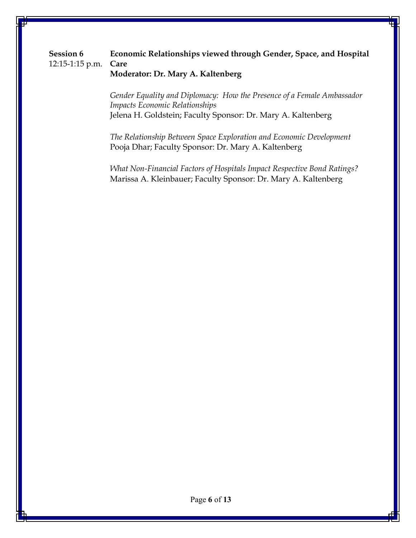## **Session 6 Economic Relationships viewed through Gender, Space, and Hospital** 12:15-1:15 p.m. **Care Moderator: Dr. Mary A. Kaltenberg**

*Gender Equality and Diplomacy: How the Presence of a Female Ambassador Impacts Economic Relationships* Jelena H. Goldstein; Faculty Sponsor: Dr. Mary A. Kaltenberg

*The Relationship Between Space Exploration and Economic Development* Pooja Dhar; Faculty Sponsor: Dr. Mary A. Kaltenberg

*What Non-Financial Factors of Hospitals Impact Respective Bond Ratings?* Marissa A. Kleinbauer; Faculty Sponsor: Dr. Mary A. Kaltenberg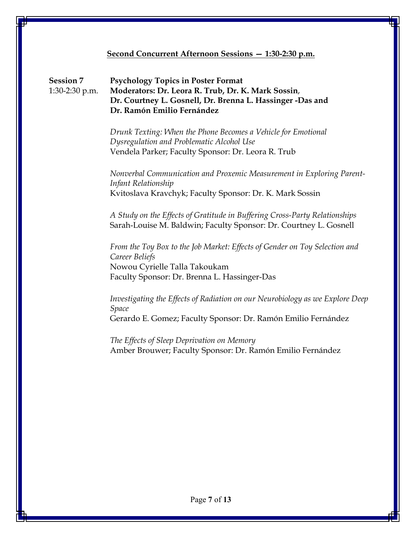#### **Second Concurrent Afternoon Sessions — 1:30-2:30 p.m.**

**Session 7 Psychology Topics in Poster Format** 1:30-2:30 p.m. **Moderators: Dr. Leora R. Trub, Dr. K. Mark Sossin**, **Dr. Courtney L. Gosnell, Dr. Brenna L. Hassinger -Das and Dr. Ramón Emilio Fernández**

> *Drunk Texting: When the Phone Becomes a Vehicle for Emotional Dysregulation and Problematic Alcohol Use* Vendela Parker; Faculty Sponsor: Dr. Leora R. Trub

*Nonverbal Communication and Proxemic Measurement in Exploring Parent-Infant Relationship* Kvitoslava Kravchyk; Faculty Sponsor: Dr. K. Mark Sossin

*A Study on the Effects of Gratitude in Buffering Cross-Party Relationships* Sarah-Louise M. Baldwin; Faculty Sponsor: Dr. Courtney L. Gosnell

*From the Toy Box to the Job Market: Effects of Gender on Toy Selection and Career Beliefs* Nowou Cyrielle Talla Takoukam Faculty Sponsor: Dr. Brenna L. Hassinger-Das

*Investigating the Effects of Radiation on our Neurobiology as we Explore Deep Space* Gerardo E. Gomez; Faculty Sponsor: Dr. Ramón Emilio Fernández

*The Effects of Sleep Deprivation on Memory* Amber Brouwer; Faculty Sponsor: Dr. Ramón Emilio Fernández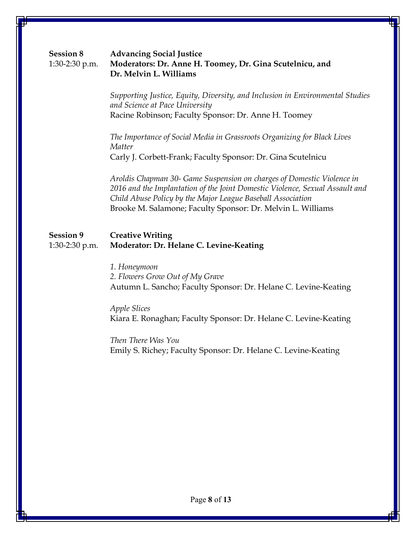| <b>Session 8</b> | <b>Advancing Social Justice</b>                          |
|------------------|----------------------------------------------------------|
| 1:30-2:30 p.m.   | Moderators: Dr. Anne H. Toomey, Dr. Gina Scutelnicu, and |
|                  | Dr. Melvin L. Williams                                   |

*Supporting Justice, Equity, Diversity, and Inclusion in Environmental Studies and Science at Pace University* Racine Robinson; Faculty Sponsor: Dr. Anne H. Toomey

*The Importance of Social Media in Grassroots Organizing for Black Lives Matter* Carly J. Corbett-Frank; Faculty Sponsor: Dr. Gina Scutelnicu

*Aroldis Chapman 30- Game Suspension on charges of Domestic Violence in 2016 and the Implantation of the Joint Domestic Violence, Sexual Assault and Child Abuse Policy by the Major League Baseball Association* Brooke M. Salamone; Faculty Sponsor: Dr. Melvin L. Williams

## **Session 9 Creative Writing**  1:30-2:30 p.m. **Moderator: Dr. Helane C. Levine-Keating**

*1. Honeymoon 2. Flowers Grow Out of My Grave* Autumn L. Sancho; Faculty Sponsor: Dr. Helane C. Levine-Keating

#### *Apple Slices*

Kiara E. Ronaghan; Faculty Sponsor: Dr. Helane C. Levine-Keating

*Then There Was You* Emily S. Richey; Faculty Sponsor: Dr. Helane C. Levine-Keating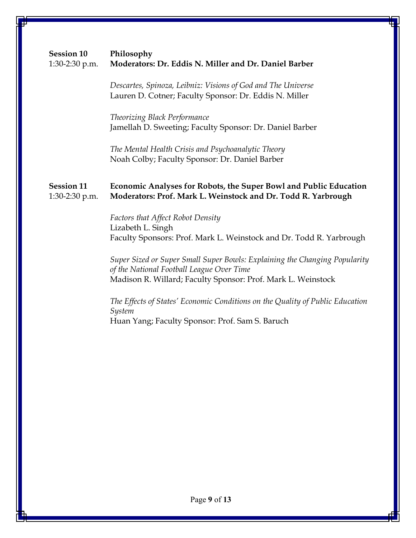| <b>Session 10</b><br>1:30-2:30 p.m. | Philosophy<br>Moderators: Dr. Eddis N. Miller and Dr. Daniel Barber                                                                                                                                                |
|-------------------------------------|--------------------------------------------------------------------------------------------------------------------------------------------------------------------------------------------------------------------|
|                                     | Descartes, Spinoza, Leibniz: Visions of God and The Universe<br>Lauren D. Cotner; Faculty Sponsor: Dr. Eddis N. Miller                                                                                             |
|                                     | Theorizing Black Performance<br>Jamellah D. Sweeting; Faculty Sponsor: Dr. Daniel Barber                                                                                                                           |
|                                     | The Mental Health Crisis and Psychoanalytic Theory<br>Noah Colby; Faculty Sponsor: Dr. Daniel Barber                                                                                                               |
| <b>Session 11</b><br>1:30-2:30 p.m. | Economic Analyses for Robots, the Super Bowl and Public Education<br>Moderators: Prof. Mark L. Weinstock and Dr. Todd R. Yarbrough                                                                                 |
|                                     | <b>Factors that Affect Robot Density</b><br>Lizabeth L. Singh<br>Faculty Sponsors: Prof. Mark L. Weinstock and Dr. Todd R. Yarbrough<br>Super Sized or Super Small Super Bowls: Explaining the Changing Popularity |
|                                     | of the National Football League Over Time<br>Madison R. Willard; Faculty Sponsor: Prof. Mark L. Weinstock                                                                                                          |
|                                     | The Effects of States' Economic Conditions on the Quality of Public Education<br>System                                                                                                                            |
|                                     | Huan Yang; Faculty Sponsor: Prof. Sam S. Baruch                                                                                                                                                                    |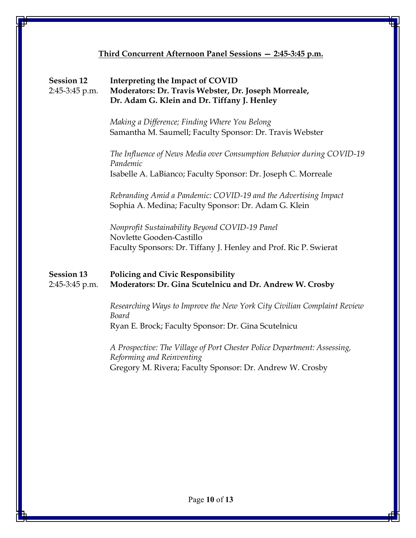# **Third Concurrent Afternoon Panel Sessions — 2:45-3:45 p.m. Session 12 Interpreting the Impact of COVID**  2:45-3:45 p.m. **Moderators: Dr. Travis Webster, Dr. Joseph Morreale, Dr. Adam G. Klein and Dr. Tiffany J. Henley** *Making a Difference; Finding Where You Belong* Samantha M. Saumell; Faculty Sponsor: Dr. Travis Webster *The Influence of News Media over Consumption Behavior during COVID-19 Pandemic* Isabelle A. LaBianco; Faculty Sponsor: Dr. Joseph C. Morreale *Rebranding Amid a Pandemic: COVID-19 and the Advertising Impact* Sophia A. Medina; Faculty Sponsor: Dr. Adam G. Klein *Nonprofit Sustainability Beyond COVID-19 Panel* Novlette Gooden-Castillo Faculty Sponsors: Dr. Tiffany J. Henley and Prof. Ric P. Swierat **Session 13 Policing and Civic Responsibility**  2:45-3:45 p.m. **Moderators: Dr. Gina Scutelnicu and Dr. Andrew W. Crosby** *Researching Ways to Improve the New York City Civilian Complaint Review Board* Ryan E. Brock; Faculty Sponsor: Dr. Gina Scutelnicu *A Prospective: The Village of Port Chester Police Department: Assessing, Reforming and Reinventing* Gregory M. Rivera; Faculty Sponsor: Dr. Andrew W. Crosby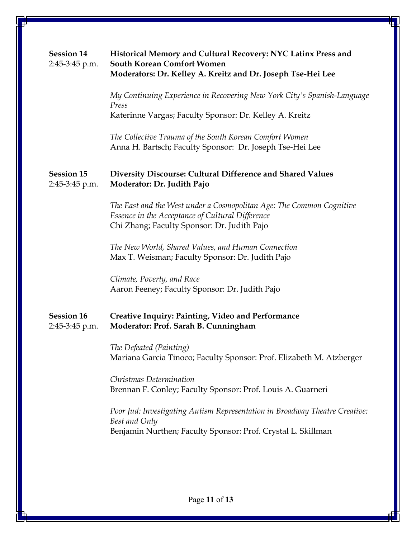| <b>Session 14</b><br>2:45-3:45 p.m. | Historical Memory and Cultural Recovery: NYC Latinx Press and<br><b>South Korean Comfort Women</b><br>Moderators: Dr. Kelley A. Kreitz and Dr. Joseph Tse-Hei Lee       |
|-------------------------------------|-------------------------------------------------------------------------------------------------------------------------------------------------------------------------|
|                                     | My Continuing Experience in Recovering New York City's Spanish-Language<br>Press<br>Katerinne Vargas; Faculty Sponsor: Dr. Kelley A. Kreitz                             |
|                                     | The Collective Trauma of the South Korean Comfort Women<br>Anna H. Bartsch; Faculty Sponsor: Dr. Joseph Tse-Hei Lee                                                     |
| <b>Session 15</b><br>2:45-3:45 p.m. | Diversity Discourse: Cultural Difference and Shared Values<br>Moderator: Dr. Judith Pajo                                                                                |
|                                     | The East and the West under a Cosmopolitan Age: The Common Cognitive<br>Essence in the Acceptance of Cultural Difference<br>Chi Zhang; Faculty Sponsor: Dr. Judith Pajo |
|                                     | The New World, Shared Values, and Human Connection<br>Max T. Weisman; Faculty Sponsor: Dr. Judith Pajo                                                                  |
|                                     | Climate, Poverty, and Race<br>Aaron Feeney; Faculty Sponsor: Dr. Judith Pajo                                                                                            |
| <b>Session 16</b><br>2:45-3:45 p.m. | Creative Inquiry: Painting, Video and Performance<br>Moderator: Prof. Sarah B. Cunningham                                                                               |
|                                     | The Defeated (Painting)<br>Mariana Garcia Tinoco; Faculty Sponsor: Prof. Elizabeth M. Atzberger                                                                         |
|                                     | Christmas Determination<br>Brennan F. Conley; Faculty Sponsor: Prof. Louis A. Guarneri                                                                                  |
|                                     | Poor Jud: Investigating Autism Representation in Broadway Theatre Creative:<br>Best and Only<br>Benjamin Nurthen; Faculty Sponsor: Prof. Crystal L. Skillman            |
|                                     |                                                                                                                                                                         |
|                                     |                                                                                                                                                                         |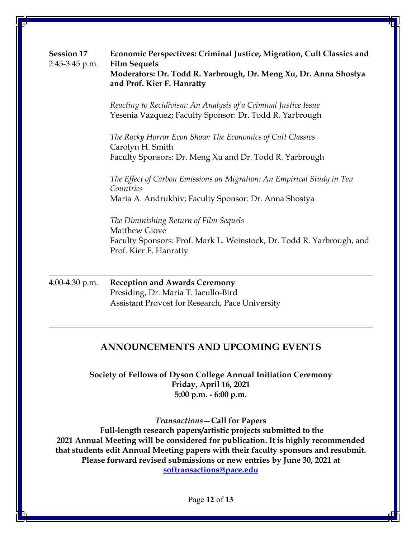| <b>Session 17</b><br>2:45-3:45 p.m. | Economic Perspectives: Criminal Justice, Migration, Cult Classics and<br><b>Film Sequels</b><br>Moderators: Dr. Todd R. Yarbrough, Dr. Meng Xu, Dr. Anna Shostya<br>and Prof. Kier F. Hanratty |
|-------------------------------------|------------------------------------------------------------------------------------------------------------------------------------------------------------------------------------------------|
|                                     | Reacting to Recidivism: An Analysis of a Criminal Justice Issue<br>Yesenia Vazquez; Faculty Sponsor: Dr. Todd R. Yarbrough                                                                     |
|                                     | The Rocky Horror Econ Show: The Economics of Cult Classics<br>Carolyn H. Smith<br>Faculty Sponsors: Dr. Meng Xu and Dr. Todd R. Yarbrough                                                      |
|                                     | The Effect of Carbon Emissions on Migration: An Empirical Study in Ten<br>Countries<br>Maria A. Andrukhiv; Faculty Sponsor: Dr. Anna Shostya                                                   |
|                                     | The Diminishing Return of Film Sequels<br><b>Matthew Giove</b><br>Faculty Sponsors: Prof. Mark L. Weinstock, Dr. Todd R. Yarbrough, and<br>Prof. Kier F. Hanratty                              |
| 4:00-4:30 p.m.                      | <b>Reception and Awards Ceremony</b><br>Presiding, Dr. Maria T. Iacullo-Bird                                                                                                                   |

# Assistant Provost for Research, Pace University

# **ANNOUNCEMENTS AND UPCOMING EVENTS**

**Society of Fellows of Dyson College Annual Initiation Ceremony Friday, April 16, 2021 5:00 p.m. - 6:00 p.m.**

*Transactions***—Call for Papers Full-length research papers/artistic projects submitted to the 2021 Annual Meeting will be considered for publication. It is highly recommended that students edit Annual Meeting papers with their faculty sponsors and resubmit. Please forward revised submissions or new entries by June 30, 2021 at [softransactions@pace.edu](mailto:softransactions@pace.edu)**

Page **12** of **13**